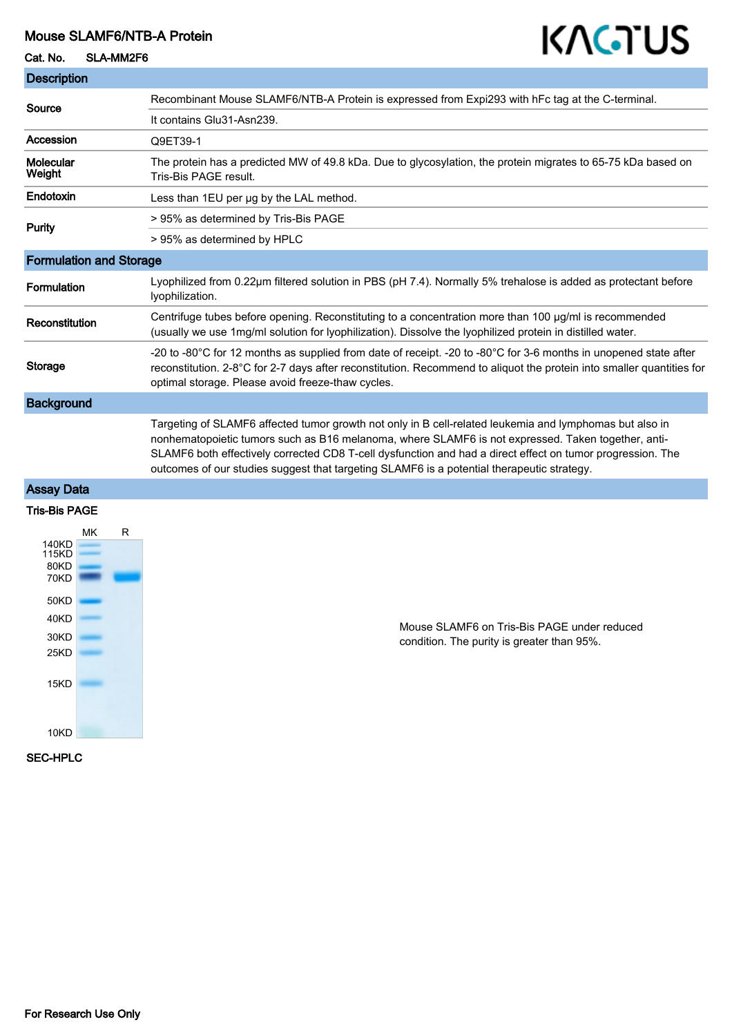# Mouse SLAMF6/NTB-A Protein

# Cat. No. SLA-MM2F6

# KAGTUS

| <b>Description</b>             |                                                                                                                                                                                                                                                                                                                                                                                                                           |
|--------------------------------|---------------------------------------------------------------------------------------------------------------------------------------------------------------------------------------------------------------------------------------------------------------------------------------------------------------------------------------------------------------------------------------------------------------------------|
| Source                         | Recombinant Mouse SLAMF6/NTB-A Protein is expressed from Expi293 with hFc tag at the C-terminal.                                                                                                                                                                                                                                                                                                                          |
|                                | It contains Glu31-Asn239.                                                                                                                                                                                                                                                                                                                                                                                                 |
| Accession                      | Q9ET39-1                                                                                                                                                                                                                                                                                                                                                                                                                  |
| Molecular<br>Weight            | The protein has a predicted MW of 49.8 kDa. Due to glycosylation, the protein migrates to 65-75 kDa based on<br>Tris-Bis PAGE result.                                                                                                                                                                                                                                                                                     |
| Endotoxin                      | Less than 1EU per ug by the LAL method.                                                                                                                                                                                                                                                                                                                                                                                   |
| Purity                         | > 95% as determined by Tris-Bis PAGE                                                                                                                                                                                                                                                                                                                                                                                      |
|                                | > 95% as determined by HPLC                                                                                                                                                                                                                                                                                                                                                                                               |
| <b>Formulation and Storage</b> |                                                                                                                                                                                                                                                                                                                                                                                                                           |
| Formulation                    | Lyophilized from 0.22µm filtered solution in PBS (pH 7.4). Normally 5% trehalose is added as protectant before<br>lyophilization.                                                                                                                                                                                                                                                                                         |
| Reconstitution                 | Centrifuge tubes before opening. Reconstituting to a concentration more than 100 ug/ml is recommended<br>(usually we use 1mg/ml solution for lyophilization). Dissolve the lyophilized protein in distilled water.                                                                                                                                                                                                        |
| Storage                        | -20 to -80°C for 12 months as supplied from date of receipt. -20 to -80°C for 3-6 months in unopened state after<br>reconstitution. 2-8°C for 2-7 days after reconstitution. Recommend to aliquot the protein into smaller quantities for<br>optimal storage. Please avoid freeze-thaw cycles.                                                                                                                            |
| <b>Background</b>              |                                                                                                                                                                                                                                                                                                                                                                                                                           |
|                                | Targeting of SLAMF6 affected tumor growth not only in B cell-related leukemia and lymphomas but also in<br>nonhematopoietic tumors such as B16 melanoma, where SLAMF6 is not expressed. Taken together, anti-<br>SLAMF6 both effectively corrected CD8 T-cell dysfunction and had a direct effect on tumor progression. The<br>outcomes of our studies suggest that targeting SLAMF6 is a potential therapeutic strategy. |

#### Assay Data

# Tris-Bis PAGE



Mouse SLAMF6 on Tris-Bis PAGE under reduced condition. The purity is greater than 95%.

### SEC-HPLC